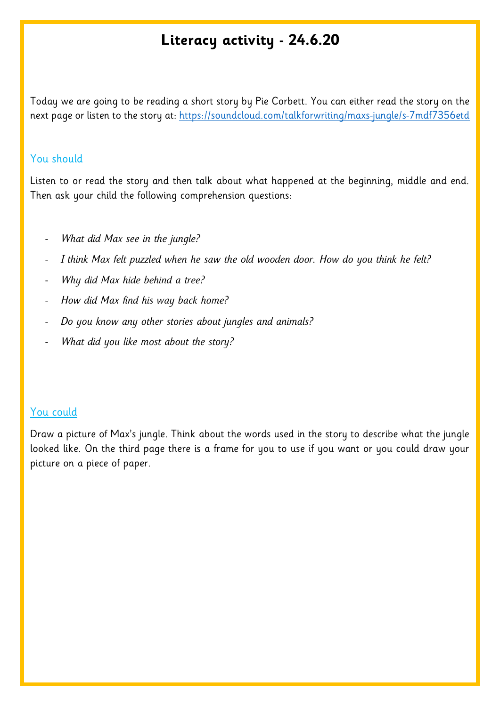## **Literacy activity - 24.6.20**

Today we are going to be reading a short story by Pie Corbett. You can either read the story on the next page or listen to the story at:<https://soundcloud.com/talkforwriting/maxs-jungle/s-7mdf7356etd>

## You should

Listen to or read the story and then talk about what happened at the beginning, middle and end. Then ask your child the following comprehension questions:

- *What did Max see in the jungle?*
- I think Max felt puzzled when he saw the old wooden door. How do you think he felt?
- *Why did Max hide behind a tree?*
- *How did Max find his way back home?*
- *Do you know any other stories about jungles and animals?*
- *What did you like most about the story?*

## You could

Draw a picture of Max's jungle. Think about the words used in the story to describe what the jungle looked like. On the third page there is a frame for you to use if you want or you could draw your picture on a piece of paper.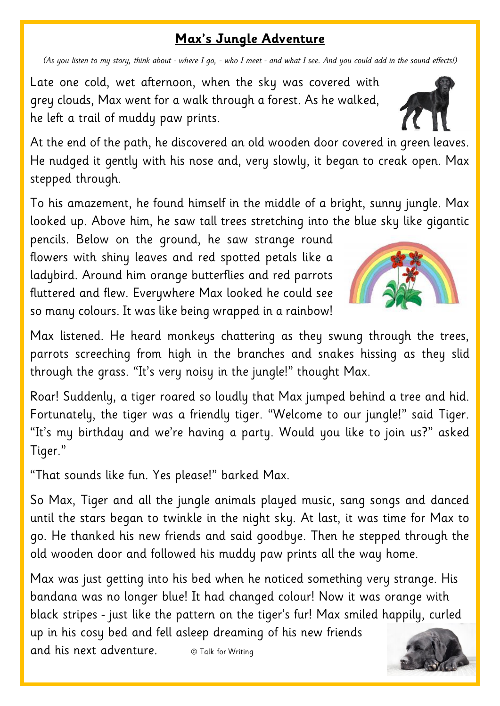## **Max's Jungle Adventure**

*(As you listen to my story, think about - where I go, - who I meet - and what I see. And you could add in the sound effects!)*

Late one cold, wet afternoon, when the sky was covered with grey clouds, Max went for a walk through a forest. As he walked, he left a trail of muddy paw prints.

At the end of the path, he discovered an old wooden door covered in green leaves. He nudged it gently with his nose and, very slowly, it began to creak open. Max stepped through.

To his amazement, he found himself in the middle of a bright, sunny jungle. Max looked up. Above him, he saw tall trees stretching into the blue sky like gigantic

pencils. Below on the ground, he saw strange round flowers with shiny leaves and red spotted petals like a ladybird. Around him orange butterflies and red parrots fluttered and flew. Everywhere Max looked he could see so many colours. It was like being wrapped in a rainbow!

Max listened. He heard monkeys chattering as they swung through the trees, parrots screeching from high in the branches and snakes hissing as they slid through the grass. "It's very noisy in the jungle!" thought Max.

Roar! Suddenly, a tiger roared so loudly that Max jumped behind a tree and hid. Fortunately, the tiger was a friendly tiger. "Welcome to our jungle!" said Tiger. "It's my birthday and we're having a party. Would you like to join us?" asked Tiger."

"That sounds like fun. Yes please!" barked Max.

So Max, Tiger and all the jungle animals played music, sang songs and danced until the stars began to twinkle in the night sky. At last, it was time for Max to go. He thanked his new friends and said goodbye. Then he stepped through the old wooden door and followed his muddy paw prints all the way home.

Max was just getting into his bed when he noticed something very strange. His bandana was no longer blue! It had changed colour! Now it was orange with black stripes - just like the pattern on the tiger's fur! Max smiled happily, curled up in his cosy bed and fell asleep dreaming of his new friends and his next adventure.  $\circ$  Talk for Writing